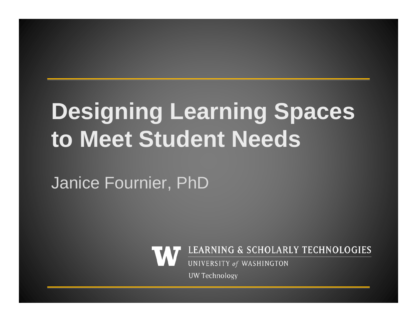# **Designing Learning Spaces to Meet Student Needs**

Janice Fournier, PhD



**UW Technology**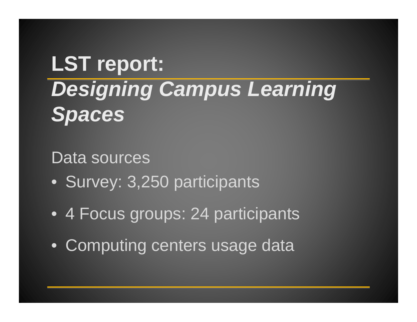#### **LST report:** *Designing Campus Learning Spaces*

#### Data sources

- Survey: 3,250 participants
- 4 Focus groups: 24 participants
- Computing centers usage data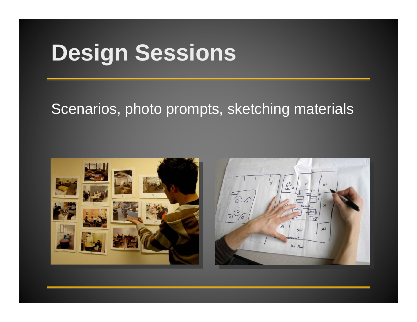## **Design Sessions**

#### Scenarios, photo prompts, sketching materials



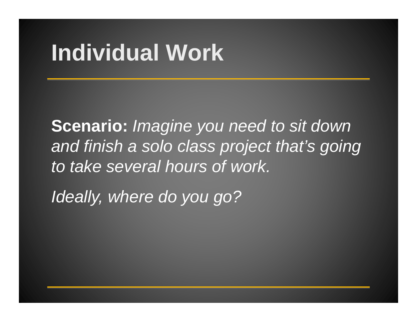# **Individual Work**

**Scenario:** *Imagine you need to sit down and finish a solo class project that's going to take several hours of work.*

*Ideally, where do you go?*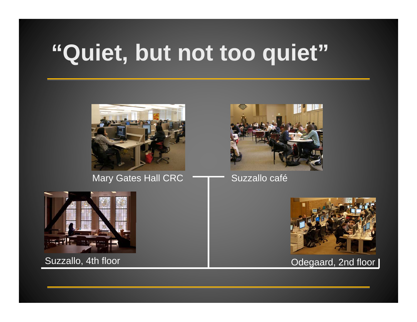# **"Quiet, but not too quiet"**



Mary Gates Hall CRC **THE Suzzallo café** 







Suzzallo, 4th floor **Calculate Contract Contract Contract Contract Contract Contract Contract Contract Contract Contract Contract Contract Contract Contract Contract Contract Contract Contract Contract Contract Contract Co**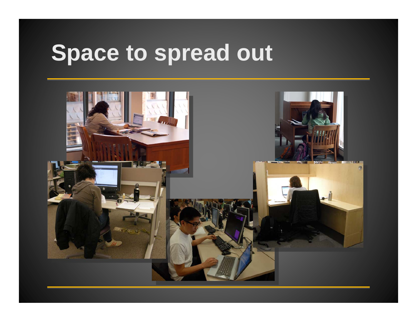#### **Space to spread out**

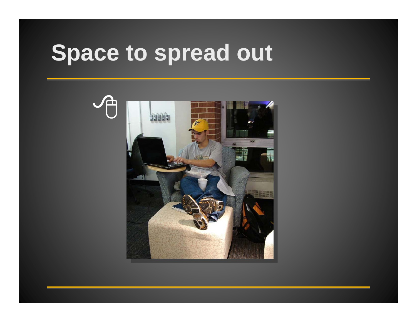#### **Space to spread out**

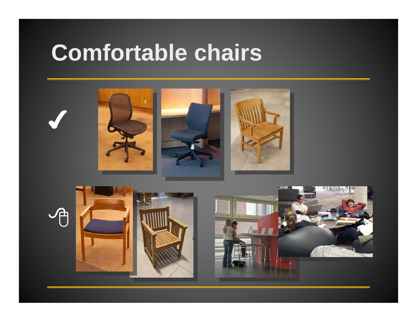#### **Comfortable chairs**

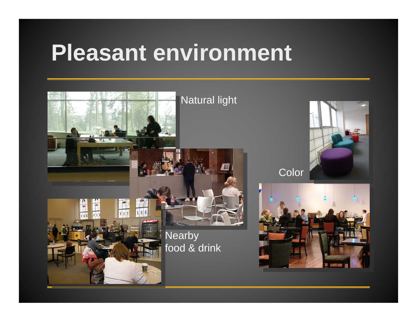## **Pleasant environment**





Color

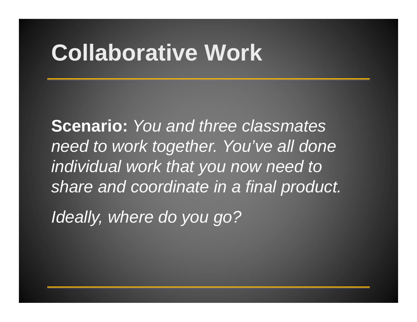## **Collaborative Work**

**Scenario:** *You and three classmates need to work together. You've all done individual work that you now need to share and coordinate in a final product.*

*Ideally, where do you go?*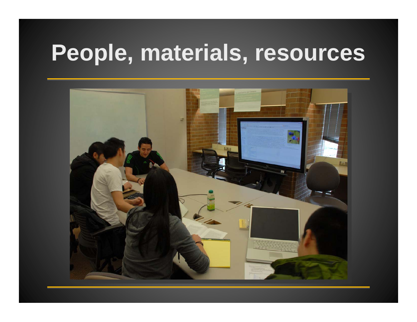#### **People, materials, resources**

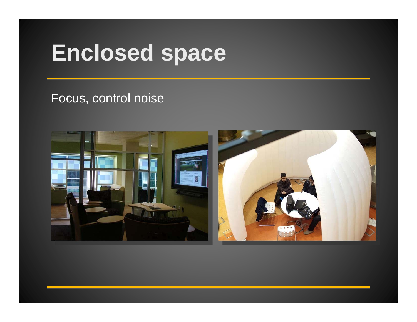## **Enclosed space**

#### Focus, control noise

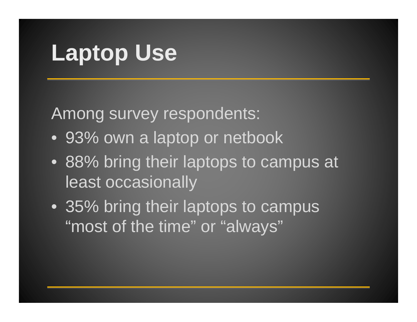# **Laptop Use**

Among survey respondents:

- 93% own a laptop or netbook
- 88% bring their laptops to campus at least occasionally
- 35% bring their laptops to campus "most of the time" or "always"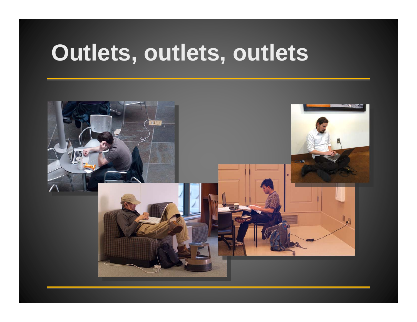#### **Outlets, outlets, outlets**

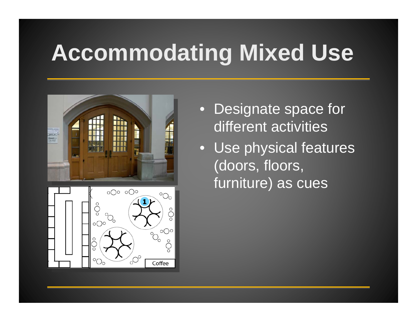# **Accommodating Mixed Use**



- • Designate space for different activities
- Use physical features (doors, floors, furniture) as cues